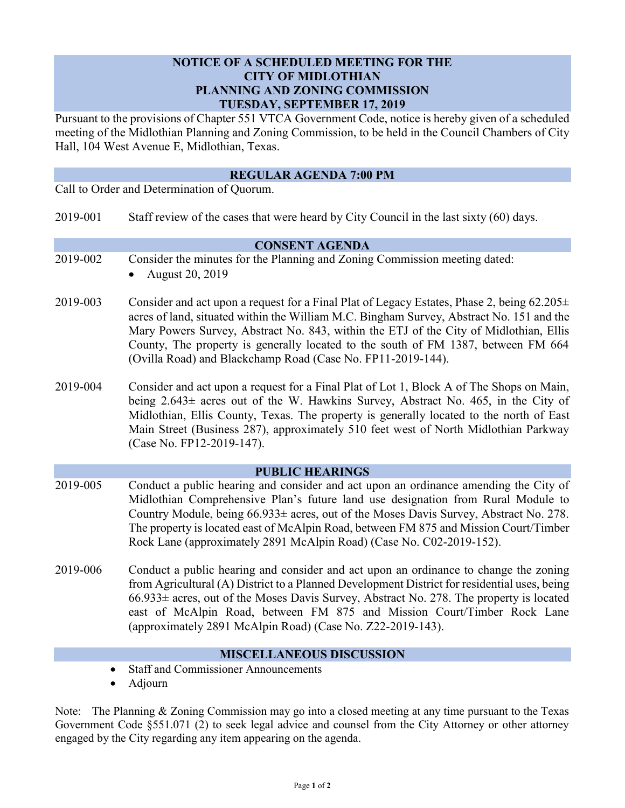## **NOTICE OF A SCHEDULED MEETING FOR THE CITY OF MIDLOTHIAN PLANNING AND ZONING COMMISSION TUESDAY, SEPTEMBER 17, 2019**

Pursuant to the provisions of Chapter 551 VTCA Government Code, notice is hereby given of a scheduled meeting of the Midlothian Planning and Zoning Commission, to be held in the Council Chambers of City Hall, 104 West Avenue E, Midlothian, Texas.

# **REGULAR AGENDA 7:00 PM**

Call to Order and Determination of Quorum.

| 2019-001 |  | Staff review of the cases that were heard by City Council in the last sixty (60) days. |
|----------|--|----------------------------------------------------------------------------------------|
|----------|--|----------------------------------------------------------------------------------------|

#### **CONSENT AGENDA**

- 2019-002 Consider the minutes for the Planning and Zoning Commission meeting dated:
	- August 20, 2019
- 2019-003 Consider and act upon a request for a Final Plat of Legacy Estates, Phase 2, being  $62.205 \pm$ acres of land, situated within the William M.C. Bingham Survey, Abstract No. 151 and the Mary Powers Survey, Abstract No. 843, within the ETJ of the City of Midlothian, Ellis County, The property is generally located to the south of FM 1387, between FM 664 (Ovilla Road) and Blackchamp Road (Case No. FP11-2019-144).
- 2019-004 Consider and act upon a request for a Final Plat of Lot 1, Block A of The Shops on Main, being 2.643± acres out of the W. Hawkins Survey, Abstract No. 465, in the City of Midlothian, Ellis County, Texas. The property is generally located to the north of East Main Street (Business 287), approximately 510 feet west of North Midlothian Parkway (Case No. FP12-2019-147).

#### **PUBLIC HEARINGS**

- 2019-005 Conduct a public hearing and consider and act upon an ordinance amending the City of Midlothian Comprehensive Plan's future land use designation from Rural Module to Country Module, being  $66.933\pm$  acres, out of the Moses Davis Survey, Abstract No. 278. The property is located east of McAlpin Road, between FM 875 and Mission Court/Timber Rock Lane (approximately 2891 McAlpin Road) (Case No. C02-2019-152).
- 2019-006 Conduct a public hearing and consider and act upon an ordinance to change the zoning from Agricultural (A) District to a Planned Development District for residential uses, being  $66.933\pm$  acres, out of the Moses Davis Survey, Abstract No. 278. The property is located east of McAlpin Road, between FM 875 and Mission Court/Timber Rock Lane (approximately 2891 McAlpin Road) (Case No. Z22-2019-143).

## **MISCELLANEOUS DISCUSSION**

- Staff and Commissioner Announcements
- Adjourn

Note: The Planning & Zoning Commission may go into a closed meeting at any time pursuant to the Texas Government Code §551.071 (2) to seek legal advice and counsel from the City Attorney or other attorney engaged by the City regarding any item appearing on the agenda.